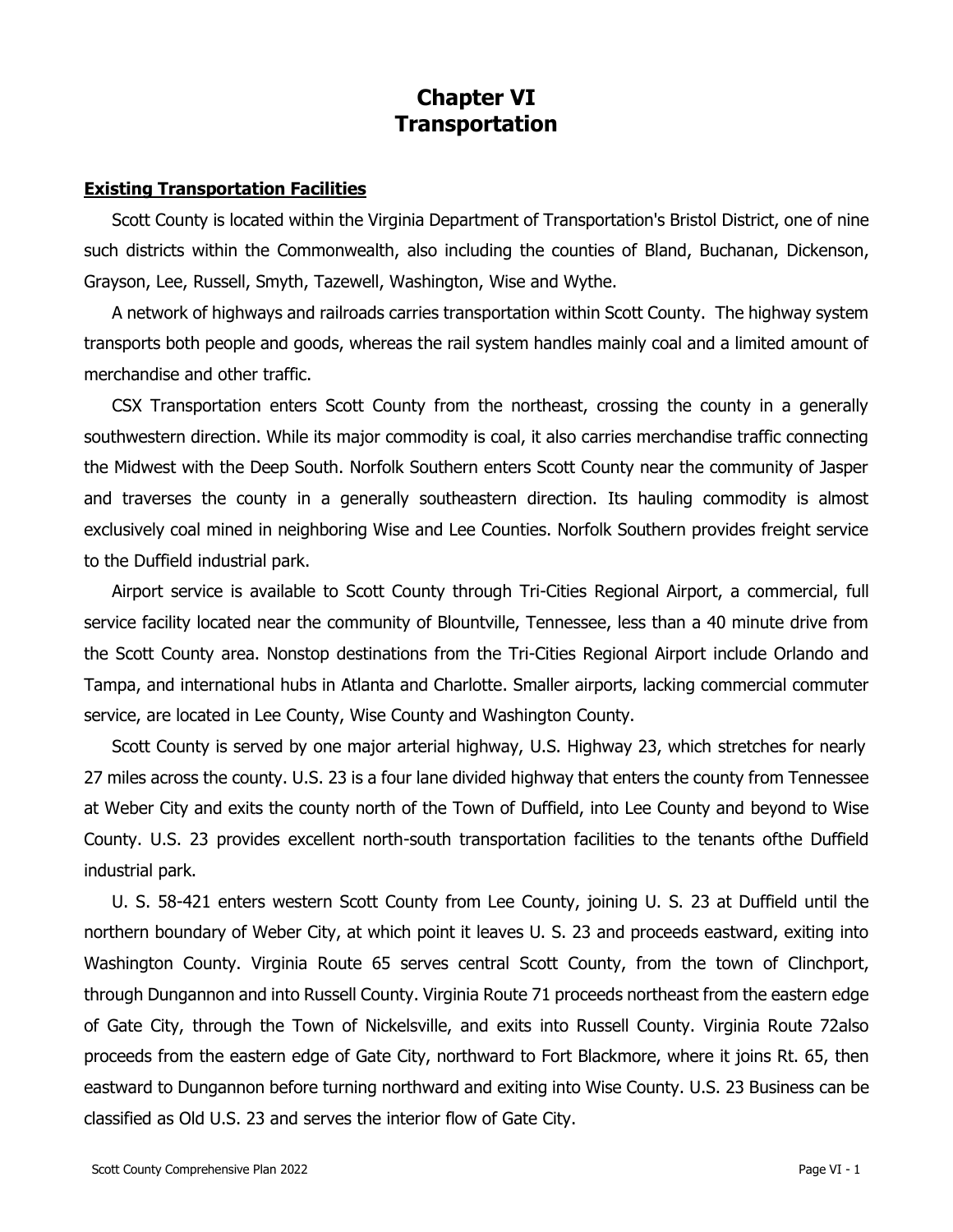# **Chapter VI Transportation**

## **Existing Transportation Facilities**

Scott County is located within the Virginia Department of Transportation's Bristol District, one of nine such districts within the Commonwealth, also including the counties of Bland, Buchanan, Dickenson, Grayson, Lee, Russell, Smyth, Tazewell, Washington, Wise and Wythe.

A network of highways and railroads carries transportation within Scott County. The highway system transports both people and goods, whereas the rail system handles mainly coal and a limited amount of merchandise and other traffic.

CSX Transportation enters Scott County from the northeast, crossing the county in a generally southwestern direction. While its major commodity is coal, it also carries merchandise traffic connecting the Midwest with the Deep South. Norfolk Southern enters Scott County near the community of Jasper and traverses the county in a generally southeastern direction. Its hauling commodity is almost exclusively coal mined in neighboring Wise and Lee Counties. Norfolk Southern provides freight service to the Duffield industrial park.

Airport service is available to Scott County through Tri-Cities Regional Airport, a commercial, full service facility located near the community of Blountville, Tennessee, less than a 40 minute drive from the Scott County area. Nonstop destinations from the Tri-Cities Regional Airport include Orlando and Tampa, and international hubs in Atlanta and Charlotte. Smaller airports, lacking commercial commuter service, are located in Lee County, Wise County and Washington County.

Scott County is served by one major arterial highway, U.S. Highway 23, which stretches for nearly 27 miles across the county. U.S. 23 is a four lane divided highway that enters the county from Tennessee at Weber City and exits the county north of the Town of Duffield, into Lee County and beyond to Wise County. U.S. 23 provides excellent north-south transportation facilities to the tenants ofthe Duffield industrial park.

U. S. 58-421 enters western Scott County from Lee County, joining U. S. 23 at Duffield until the northern boundary of Weber City, at which point it leaves U. S. 23 and proceeds eastward, exiting into Washington County. Virginia Route 65 serves central Scott County, from the town of Clinchport, through Dungannon and into Russell County. Virginia Route 71 proceeds northeast from the eastern edge of Gate City, through the Town of Nickelsville, and exits into Russell County. Virginia Route 72also proceeds from the eastern edge of Gate City, northward to Fort Blackmore, where it joins Rt. 65, then eastward to Dungannon before turning northward and exiting into Wise County. U.S. 23 Business can be classified as Old U.S. 23 and serves the interior flow of Gate City.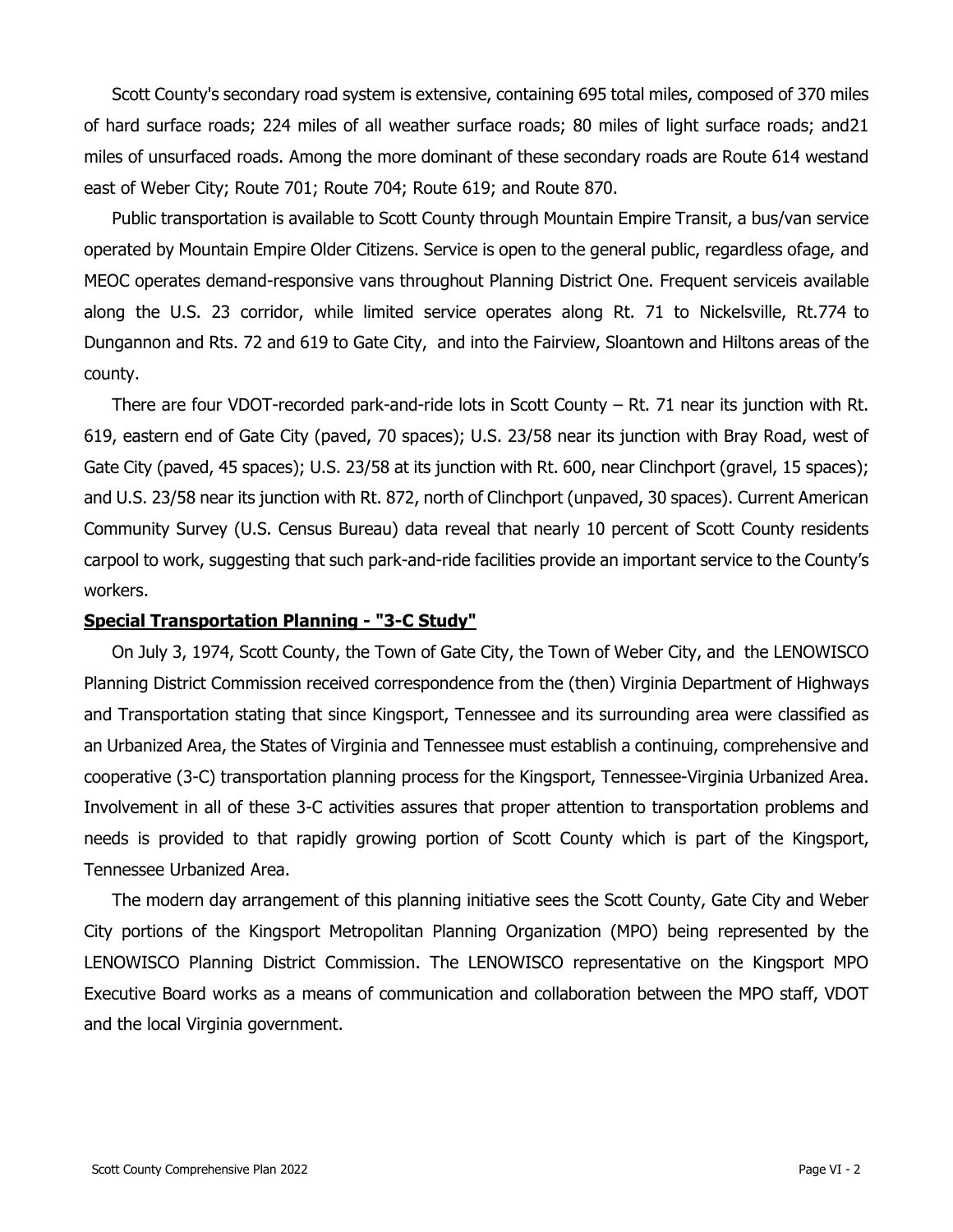Scott County's secondary road system is extensive, containing 695 total miles, composed of 370 miles of hard surface roads; 224 miles of all weather surface roads; 80 miles of light surface roads; and21 miles of unsurfaced roads. Among the more dominant of these secondary roads are Route 614 westand east of Weber City; Route 701; Route 704; Route 619; and Route 870.

Public transportation is available to Scott County through Mountain Empire Transit, a bus/van service operated by Mountain Empire Older Citizens. Service is open to the general public, regardless ofage, and MEOC operates demand-responsive vans throughout Planning District One. Frequent serviceis available along the U.S. 23 corridor, while limited service operates along Rt. 71 to Nickelsville, Rt.774 to Dungannon and Rts. 72 and 619 to Gate City, and into the Fairview, Sloantown and Hiltons areas of the county.

There are four VDOT-recorded park-and-ride lots in Scott County – Rt. 71 near its junction with Rt. 619, eastern end of Gate City (paved, 70 spaces); U.S. 23/58 near its junction with Bray Road, west of Gate City (paved, 45 spaces); U.S. 23/58 at its junction with Rt. 600, near Clinchport (gravel, 15 spaces); and U.S. 23/58 near its junction with Rt. 872, north of Clinchport (unpaved, 30 spaces). Current American Community Survey (U.S. Census Bureau) data reveal that nearly 10 percent of Scott County residents carpool to work, suggesting that such park-and-ride facilities provide an important service to the County's workers.

#### **Special Transportation Planning - "3-C Study"**

On July 3, 1974, Scott County, the Town of Gate City, the Town of Weber City, and the LENOWISCO Planning District Commission received correspondence from the (then) Virginia Department of Highways and Transportation stating that since Kingsport, Tennessee and its surrounding area were classified as an Urbanized Area, the States of Virginia and Tennessee must establish a continuing, comprehensive and cooperative (3-C) transportation planning process for the Kingsport, Tennessee-Virginia Urbanized Area. Involvement in all of these 3-C activities assures that proper attention to transportation problems and needs is provided to that rapidly growing portion of Scott County which is part of the Kingsport, Tennessee Urbanized Area.

The modern day arrangement of this planning initiative sees the Scott County, Gate City and Weber City portions of the Kingsport Metropolitan Planning Organization (MPO) being represented by the LENOWISCO Planning District Commission. The LENOWISCO representative on the Kingsport MPO Executive Board works as a means of communication and collaboration between the MPO staff, VDOT and the local Virginia government.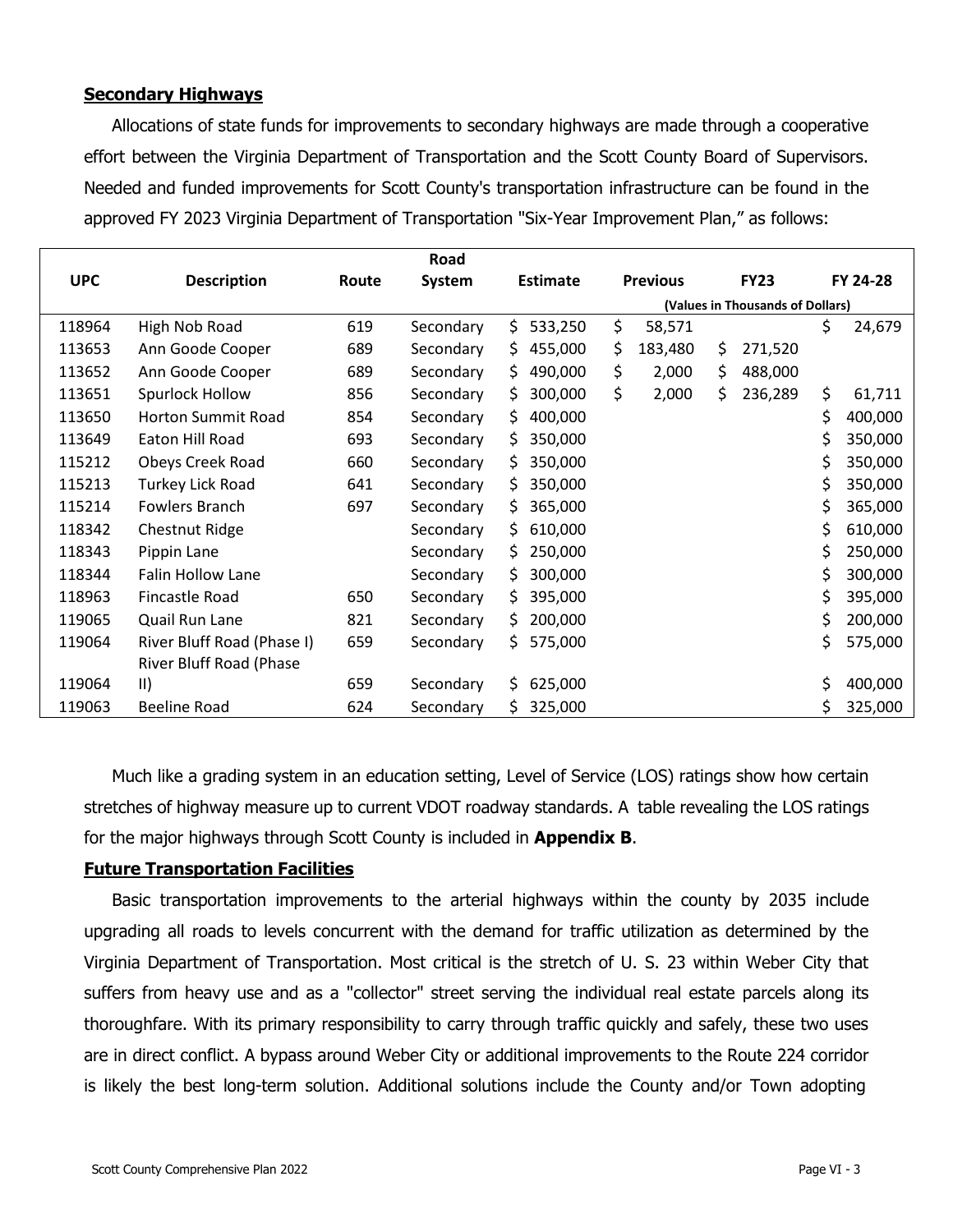# **Secondary Highways**

Allocations of state funds for improvements to secondary highways are made through a cooperative effort between the Virginia Department of Transportation and the Scott County Board of Supervisors. Needed and funded improvements for Scott County's transportation infrastructure can be found in the approved FY 2023 Virginia Department of Transportation "Six-Year Improvement Plan," as follows:

|            |                            |       | Road      |                 |                                  |    |             |    |          |  |
|------------|----------------------------|-------|-----------|-----------------|----------------------------------|----|-------------|----|----------|--|
| <b>UPC</b> | <b>Description</b>         | Route | System    | <b>Estimate</b> | <b>Previous</b>                  |    | <b>FY23</b> |    | FY 24-28 |  |
|            |                            |       |           |                 | (Values in Thousands of Dollars) |    |             |    |          |  |
| 118964     | High Nob Road              | 619   | Secondary | \$<br>533,250   | \$<br>58,571                     |    |             | \$ | 24,679   |  |
| 113653     | Ann Goode Cooper           | 689   | Secondary | 455,000<br>\$.  | \$<br>183,480                    | \$ | 271,520     |    |          |  |
| 113652     | Ann Goode Cooper           | 689   | Secondary | \$.<br>490,000  | \$<br>2,000                      | \$ | 488,000     |    |          |  |
| 113651     | Spurlock Hollow            | 856   | Secondary | 300,000<br>\$.  | \$<br>2,000                      | \$ | 236,289     | \$ | 61,711   |  |
| 113650     | <b>Horton Summit Road</b>  | 854   | Secondary | \$.<br>400,000  |                                  |    |             | \$ | 400,000  |  |
| 113649     | Eaton Hill Road            | 693   | Secondary | 350,000<br>S    |                                  |    |             | \$ | 350,000  |  |
| 115212     | Obeys Creek Road           | 660   | Secondary | 350,000<br>S.   |                                  |    |             | \$ | 350,000  |  |
| 115213     | Turkey Lick Road           | 641   | Secondary | \$<br>350,000   |                                  |    |             | \$ | 350,000  |  |
| 115214     | Fowlers Branch             | 697   | Secondary | 365,000<br>\$.  |                                  |    |             | \$ | 365,000  |  |
| 118342     | Chestnut Ridge             |       | Secondary | \$.<br>610,000  |                                  |    |             | \$ | 610,000  |  |
| 118343     | Pippin Lane                |       | Secondary | 250,000<br>S.   |                                  |    |             | \$ | 250,000  |  |
| 118344     | <b>Falin Hollow Lane</b>   |       | Secondary | \$.<br>300,000  |                                  |    |             | \$ | 300,000  |  |
| 118963     | Fincastle Road             | 650   | Secondary | 395,000<br>S    |                                  |    |             | \$ | 395,000  |  |
| 119065     | Quail Run Lane             | 821   | Secondary | \$.<br>200,000  |                                  |    |             | \$ | 200,000  |  |
| 119064     | River Bluff Road (Phase I) | 659   | Secondary | Ś.<br>575,000   |                                  |    |             | \$ | 575,000  |  |
|            | River Bluff Road (Phase    |       |           |                 |                                  |    |             |    |          |  |
| 119064     | $\parallel$                | 659   | Secondary | \$.<br>625,000  |                                  |    |             | \$ | 400,000  |  |
| 119063     | <b>Beeline Road</b>        | 624   | Secondary | \$<br>325,000   |                                  |    |             | Ś  | 325,000  |  |

Much like a grading system in an education setting, Level of Service (LOS) ratings show how certain stretches of highway measure up to current VDOT roadway standards. A table revealing the LOS ratings for the major highways through Scott County is included in **Appendix B**.

## **Future Transportation Facilities**

Basic transportation improvements to the arterial highways within the county by 2035 include upgrading all roads to levels concurrent with the demand for traffic utilization as determined by the Virginia Department of Transportation. Most critical is the stretch of U. S. 23 within Weber City that suffers from heavy use and as a "collector" street serving the individual real estate parcels along its thoroughfare. With its primary responsibility to carry through traffic quickly and safely, these two uses are in direct conflict. A bypass around Weber City or additional improvements to the Route 224 corridor is likely the best long-term solution. Additional solutions include the County and/or Town adopting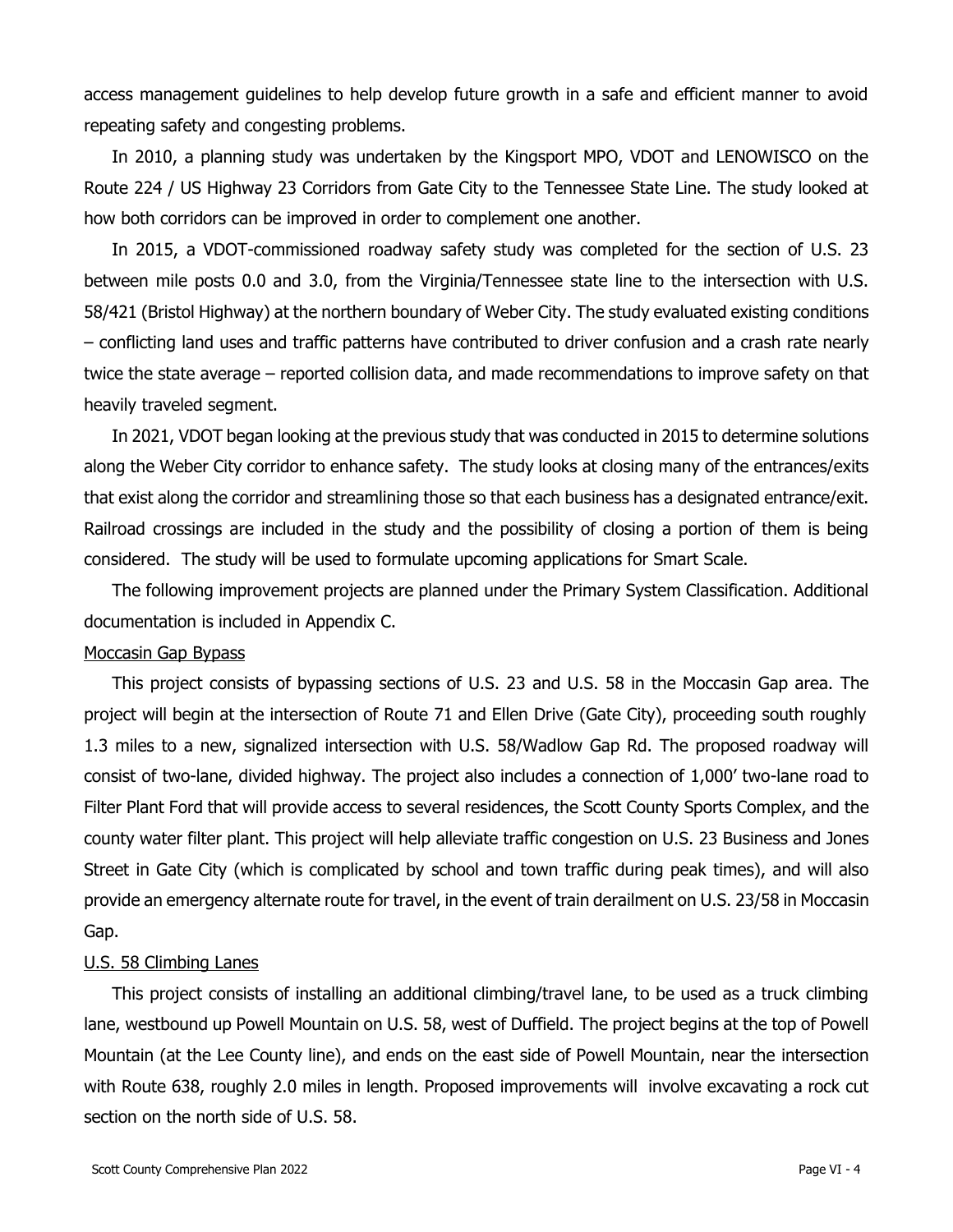access management guidelines to help develop future growth in a safe and efficient manner to avoid repeating safety and congesting problems.

In 2010, a planning study was undertaken by the Kingsport MPO, VDOT and LENOWISCO on the Route 224 / US Highway 23 Corridors from Gate City to the Tennessee State Line. The study looked at how both corridors can be improved in order to complement one another.

In 2015, a VDOT-commissioned roadway safety study was completed for the section of U.S. 23 between mile posts 0.0 and 3.0, from the Virginia/Tennessee state line to the intersection with U.S. 58/421 (Bristol Highway) at the northern boundary of Weber City. The study evaluated existing conditions – conflicting land uses and traffic patterns have contributed to driver confusion and a crash rate nearly twice the state average – reported collision data, and made recommendations to improve safety on that heavily traveled segment.

In 2021, VDOT began looking at the previous study that was conducted in 2015 to determine solutions along the Weber City corridor to enhance safety. The study looks at closing many of the entrances/exits that exist along the corridor and streamlining those so that each business has a designated entrance/exit. Railroad crossings are included in the study and the possibility of closing a portion of them is being considered. The study will be used to formulate upcoming applications for Smart Scale.

The following improvement projects are planned under the Primary System Classification. Additional documentation is included in Appendix C.

#### Moccasin Gap Bypass

This project consists of bypassing sections of U.S. 23 and U.S. 58 in the Moccasin Gap area. The project will begin at the intersection of Route 71 and Ellen Drive (Gate City), proceeding south roughly 1.3 miles to a new, signalized intersection with U.S. 58/Wadlow Gap Rd. The proposed roadway will consist of two-lane, divided highway. The project also includes a connection of 1,000' two-lane road to Filter Plant Ford that will provide access to several residences, the Scott County Sports Complex, and the county water filter plant. This project will help alleviate traffic congestion on U.S. 23 Business and Jones Street in Gate City (which is complicated by school and town traffic during peak times), and will also provide an emergency alternate route for travel, in the event of train derailment on U.S. 23/58 in Moccasin Gap.

#### U.S. 58 Climbing Lanes

This project consists of installing an additional climbing/travel lane, to be used as a truck climbing lane, westbound up Powell Mountain on U.S. 58, west of Duffield. The project begins at the top of Powell Mountain (at the Lee County line), and ends on the east side of Powell Mountain, near the intersection with Route 638, roughly 2.0 miles in length. Proposed improvements will involve excavating a rock cut section on the north side of U.S. 58.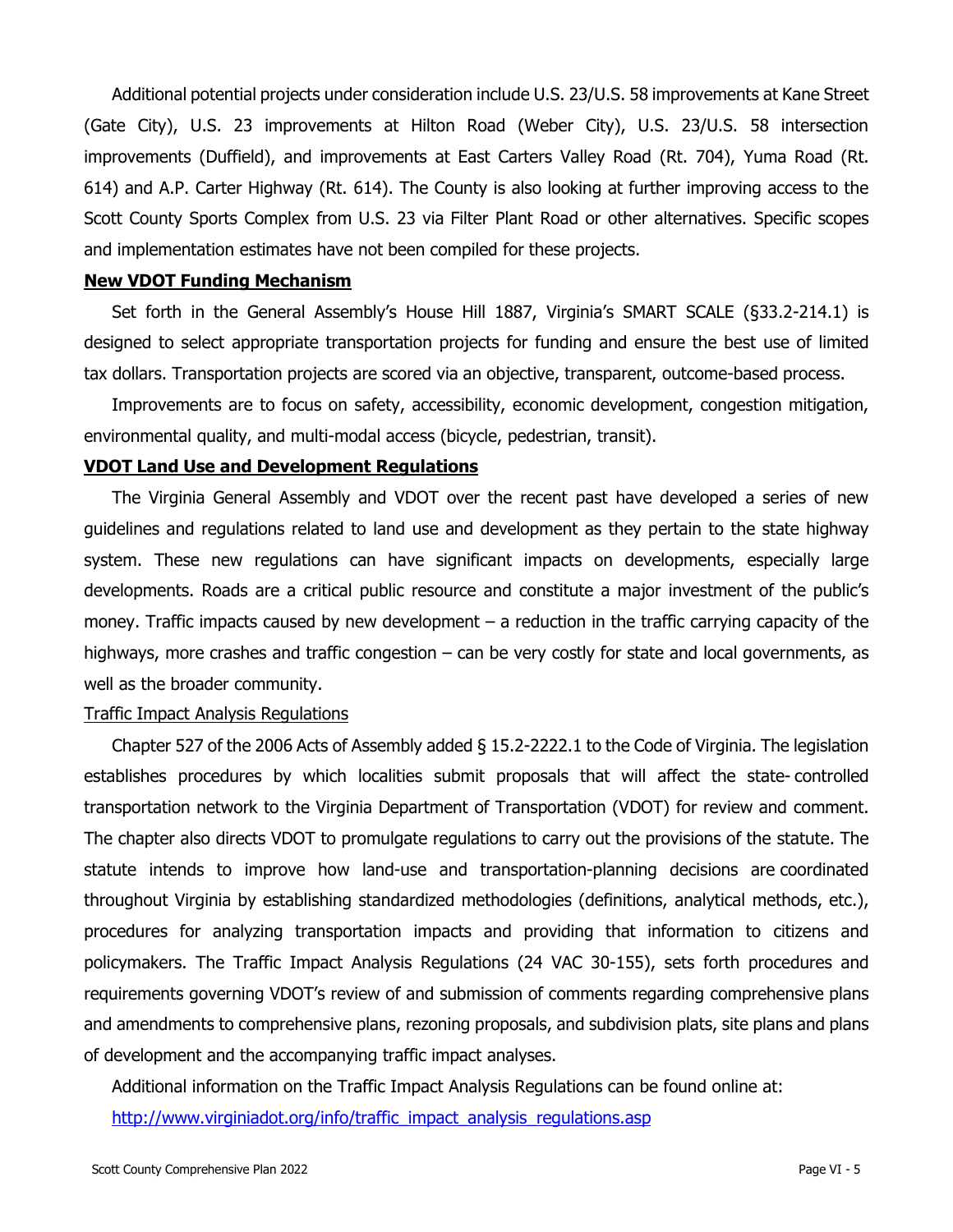Additional potential projects under consideration include U.S. 23/U.S. 58 improvements at Kane Street (Gate City), U.S. 23 improvements at Hilton Road (Weber City), U.S. 23/U.S. 58 intersection improvements (Duffield), and improvements at East Carters Valley Road (Rt. 704), Yuma Road (Rt. 614) and A.P. Carter Highway (Rt. 614). The County is also looking at further improving access to the Scott County Sports Complex from U.S. 23 via Filter Plant Road or other alternatives. Specific scopes and implementation estimates have not been compiled for these projects.

#### **New VDOT Funding Mechanism**

Set forth in the General Assembly's House Hill 1887, Virginia's SMART SCALE (§33.2-214.1) is designed to select appropriate transportation projects for funding and ensure the best use of limited tax dollars. Transportation projects are scored via an objective, transparent, outcome-based process.

Improvements are to focus on safety, accessibility, economic development, congestion mitigation, environmental quality, and multi-modal access (bicycle, pedestrian, transit).

## **VDOT Land Use and Development Regulations**

The Virginia General Assembly and VDOT over the recent past have developed a series of new guidelines and regulations related to land use and development as they pertain to the state highway system. These new regulations can have significant impacts on developments, especially large developments. Roads are a critical public resource and constitute a major investment of the public's money. Traffic impacts caused by new development – a reduction in the traffic carrying capacity of the highways, more crashes and traffic congestion – can be very costly for state and local governments, as well as the broader community.

#### Traffic Impact Analysis Regulations

Chapter 527 of the 2006 Acts of Assembly added § 15.2-2222.1 to the Code of Virginia. The legislation establishes procedures by which localities submit proposals that will affect the state- controlled transportation network to the Virginia Department of Transportation (VDOT) for review and comment. The chapter also directs VDOT to promulgate regulations to carry out the provisions of the statute. The statute intends to improve how land-use and transportation-planning decisions are coordinated throughout Virginia by establishing standardized methodologies (definitions, analytical methods, etc.), procedures for analyzing transportation impacts and providing that information to citizens and policymakers. The Traffic Impact Analysis Regulations (24 VAC 30-155), sets forth procedures and requirements governing VDOT's review of and submission of comments regarding comprehensive plans and amendments to comprehensive plans, rezoning proposals, and subdivision plats, site plans and plans of development and the accompanying traffic impact analyses.

Additional information on the Traffic Impact Analysis Regulations can be found online at:

[http://www.virginiadot.org/info/traffic\\_impact\\_analysis\\_regulations.asp](http://www.virginiadot.org/info/traffic_impact_analysis_regulations.asp)